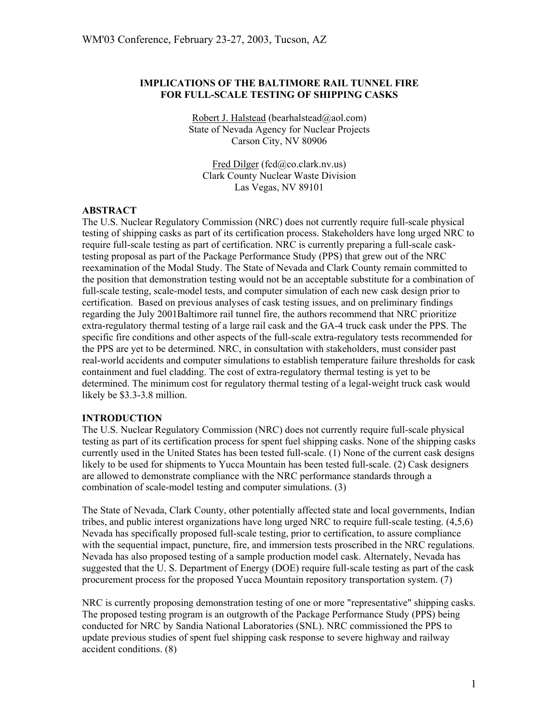### **IMPLICATIONS OF THE BALTIMORE RAIL TUNNEL FIRE FOR FULL-SCALE TESTING OF SHIPPING CASKS**

Robert J. Halstead (bearhalstead@aol.com) State of Nevada Agency for Nuclear Projects Carson City, NV 80906

Fred Dilger (fcd@co.clark.nv.us) Clark County Nuclear Waste Division Las Vegas, NV 89101

### **ABSTRACT**

The U.S. Nuclear Regulatory Commission (NRC) does not currently require full-scale physical testing of shipping casks as part of its certification process. Stakeholders have long urged NRC to require full-scale testing as part of certification. NRC is currently preparing a full-scale casktesting proposal as part of the Package Performance Study (PPS) that grew out of the NRC reexamination of the Modal Study. The State of Nevada and Clark County remain committed to the position that demonstration testing would not be an acceptable substitute for a combination of full-scale testing, scale-model tests, and computer simulation of each new cask design prior to certification. Based on previous analyses of cask testing issues, and on preliminary findings regarding the July 2001Baltimore rail tunnel fire, the authors recommend that NRC prioritize extra-regulatory thermal testing of a large rail cask and the GA-4 truck cask under the PPS. The specific fire conditions and other aspects of the full-scale extra-regulatory tests recommended for the PPS are yet to be determined. NRC, in consultation with stakeholders, must consider past real-world accidents and computer simulations to establish temperature failure thresholds for cask containment and fuel cladding. The cost of extra-regulatory thermal testing is yet to be determined. The minimum cost for regulatory thermal testing of a legal-weight truck cask would likely be \$3.3-3.8 million.

### **INTRODUCTION**

The U.S. Nuclear Regulatory Commission (NRC) does not currently require full-scale physical testing as part of its certification process for spent fuel shipping casks. None of the shipping casks currently used in the United States has been tested full-scale. (1) None of the current cask designs likely to be used for shipments to Yucca Mountain has been tested full-scale. (2) Cask designers are allowed to demonstrate compliance with the NRC performance standards through a combination of scale-model testing and computer simulations. (3)

The State of Nevada, Clark County, other potentially affected state and local governments, Indian tribes, and public interest organizations have long urged NRC to require full-scale testing. (4,5,6) Nevada has specifically proposed full-scale testing, prior to certification, to assure compliance with the sequential impact, puncture, fire, and immersion tests proscribed in the NRC regulations. Nevada has also proposed testing of a sample production model cask. Alternately, Nevada has suggested that the U. S. Department of Energy (DOE) require full-scale testing as part of the cask procurement process for the proposed Yucca Mountain repository transportation system. (7)

NRC is currently proposing demonstration testing of one or more "representative" shipping casks. The proposed testing program is an outgrowth of the Package Performance Study (PPS) being conducted for NRC by Sandia National Laboratories (SNL). NRC commissioned the PPS to update previous studies of spent fuel shipping cask response to severe highway and railway accident conditions. (8)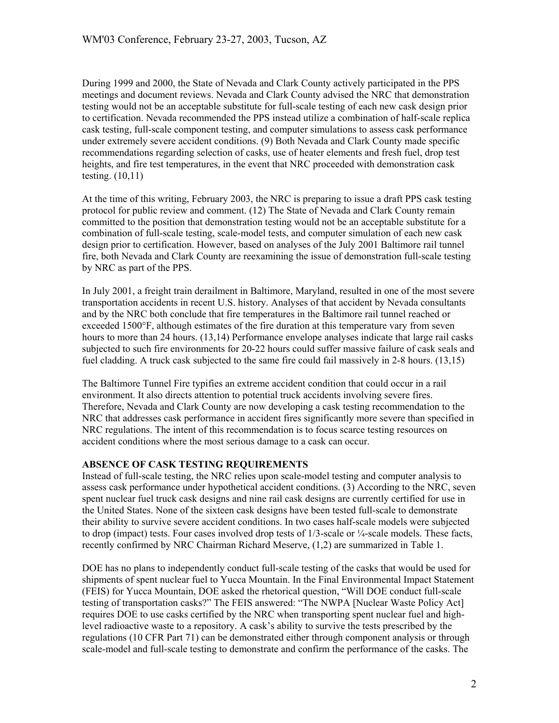During 1999 and 2000, the State of Nevada and Clark County actively participated in the PPS meetings and document reviews. Nevada and Clark County advised the NRC that demonstration testing would not be an acceptable substitute for full-scale testing of each new cask design prior to certification. Nevada recommended the PPS instead utilize a combination of half-scale replica cask testing, full-scale component testing, and computer simulations to assess cask performance under extremely severe accident conditions. (9) Both Nevada and Clark County made specific recommendations regarding selection of casks, use of heater elements and fresh fuel, drop test heights, and fire test temperatures, in the event that NRC proceeded with demonstration cask testing. (10,11)

At the time of this writing, February 2003, the NRC is preparing to issue a draft PPS cask testing protocol for public review and comment. (12) The State of Nevada and Clark County remain committed to the position that demonstration testing would not be an acceptable substitute for a combination of full-scale testing, scale-model tests, and computer simulation of each new cask design prior to certification. However, based on analyses of the July 2001 Baltimore rail tunnel fire, both Nevada and Clark County are reexamining the issue of demonstration full-scale testing by NRC as part of the PPS.

In July 2001, a freight train derailment in Baltimore, Maryland, resulted in one of the most severe transportation accidents in recent U.S. history. Analyses of that accident by Nevada consultants and by the NRC both conclude that fire temperatures in the Baltimore rail tunnel reached or exceeded 1500°F, although estimates of the fire duration at this temperature vary from seven hours to more than 24 hours. (13,14) Performance envelope analyses indicate that large rail casks subjected to such fire environments for 20-22 hours could suffer massive failure of cask seals and fuel cladding. A truck cask subjected to the same fire could fail massively in 2-8 hours. (13,15)

The Baltimore Tunnel Fire typifies an extreme accident condition that could occur in a rail environment. It also directs attention to potential truck accidents involving severe fires. Therefore, Nevada and Clark County are now developing a cask testing recommendation to the NRC that addresses cask performance in accident fires significantly more severe than specified in NRC regulations. The intent of this recommendation is to focus scarce testing resources on accident conditions where the most serious damage to a cask can occur.

# **ABSENCE OF CASK TESTING REQUIREMENTS**

Instead of full-scale testing, the NRC relies upon scale-model testing and computer analysis to assess cask performance under hypothetical accident conditions. (3) According to the NRC, seven spent nuclear fuel truck cask designs and nine rail cask designs are currently certified for use in the United States. None of the sixteen cask designs have been tested full-scale to demonstrate their ability to survive severe accident conditions. In two cases half-scale models were subjected to drop (impact) tests. Four cases involved drop tests of  $1/3$ -scale or  $\frac{1}{4}$ -scale models. These facts, recently confirmed by NRC Chairman Richard Meserve, (1,2) are summarized in Table 1.

DOE has no plans to independently conduct full-scale testing of the casks that would be used for shipments of spent nuclear fuel to Yucca Mountain. In the Final Environmental Impact Statement (FEIS) for Yucca Mountain, DOE asked the rhetorical question, "Will DOE conduct full-scale testing of transportation casks?" The FEIS answered: "The NWPA [Nuclear Waste Policy Act] requires DOE to use casks certified by the NRC when transporting spent nuclear fuel and highlevel radioactive waste to a repository. A cask's ability to survive the tests prescribed by the regulations (10 CFR Part 71) can be demonstrated either through component analysis or through scale-model and full-scale testing to demonstrate and confirm the performance of the casks. The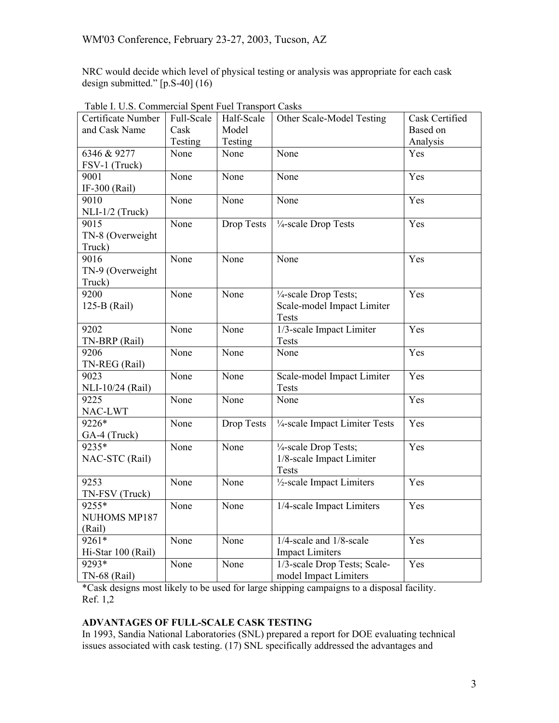NRC would decide which level of physical testing or analysis was appropriate for each cask design submitted." [p.S-40] (16)

| Certificate Number  | Full-Scale | Half-Scale        | Other Scale-Model Testing               | Cask Certified |
|---------------------|------------|-------------------|-----------------------------------------|----------------|
| and Cask Name       | Cask       | Model             |                                         | Based on       |
|                     | Testing    | Testing           |                                         | Analysis       |
| 6346 & 9277         | None       | None              | None                                    | Yes            |
| FSV-1 (Truck)       |            |                   |                                         |                |
| 9001                | None       | None              | None                                    | Yes            |
| IF-300 (Rail)       |            |                   |                                         |                |
| 9010                | None       | None              | None                                    | Yes            |
| NLI-1/2 (Truck)     |            |                   |                                         |                |
| 9015                | None       | <b>Drop Tests</b> | 1/4-scale Drop Tests                    | Yes            |
| TN-8 (Overweight    |            |                   |                                         |                |
| Truck)              |            |                   |                                         |                |
| 9016                | None       | None              | None                                    | Yes            |
| TN-9 (Overweight    |            |                   |                                         |                |
| Truck)              |            |                   |                                         |                |
| 9200                | None       | None              | 1/4-scale Drop Tests;                   | Yes            |
| 125-B (Rail)        |            |                   | Scale-model Impact Limiter              |                |
|                     |            |                   | <b>Tests</b>                            |                |
| 9202                | None       | None              | 1/3-scale Impact Limiter                | Yes            |
| TN-BRP (Rail)       |            |                   | <b>Tests</b>                            |                |
| 9206                | None       | None              | None                                    | Yes            |
| TN-REG (Rail)       |            |                   |                                         |                |
| 9023                | None       | None              | Scale-model Impact Limiter              | Yes            |
| NLI-10/24 (Rail)    |            |                   | <b>Tests</b>                            |                |
| 9225                | None       | None              | None                                    | Yes            |
| NAC-LWT             |            |                   |                                         |                |
| 9226*               | None       | <b>Drop Tests</b> | 1/4-scale Impact Limiter Tests          | Yes            |
| GA-4 (Truck)        |            |                   |                                         |                |
| 9235*               | None       | None              | 1/4-scale Drop Tests;                   | Yes            |
| NAC-STC (Rail)      |            |                   | 1/8-scale Impact Limiter                |                |
|                     |            |                   | <b>Tests</b>                            |                |
| 9253                | None       | None              | 1/2-scale Impact Limiters               | Yes            |
| TN-FSV (Truck)      |            |                   |                                         |                |
| $9255*$             | None       | None              | $\overline{1/4}$ -scale Impact Limiters | Yes            |
| NUHOMS MP187        |            |                   |                                         |                |
| (Rail)              |            |                   |                                         |                |
| $9261*$             | None       | None              | 1/4-scale and 1/8-scale                 | Yes            |
| Hi-Star 100 (Rail)  |            |                   | <b>Impact Limiters</b>                  |                |
| $9293*$             | None       | None              | 1/3-scale Drop Tests; Scale-            | Yes            |
| <b>TN-68 (Rail)</b> |            |                   | model Impact Limiters                   |                |

Table I. U.S. Commercial Spent Fuel Transport Casks

\*Cask designs most likely to be used for large shipping campaigns to a disposal facility. Ref. 1,2

# **ADVANTAGES OF FULL-SCALE CASK TESTING**

In 1993, Sandia National Laboratories (SNL) prepared a report for DOE evaluating technical issues associated with cask testing. (17) SNL specifically addressed the advantages and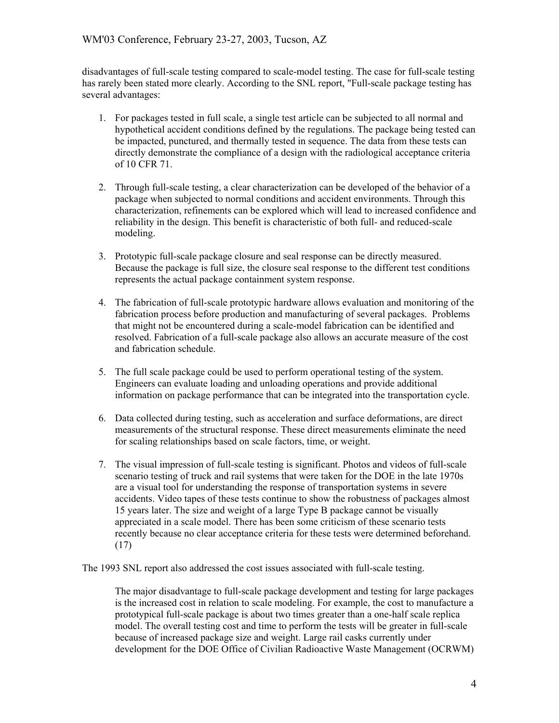disadvantages of full-scale testing compared to scale-model testing. The case for full-scale testing has rarely been stated more clearly. According to the SNL report, "Full-scale package testing has several advantages:

- 1. For packages tested in full scale, a single test article can be subjected to all normal and hypothetical accident conditions defined by the regulations. The package being tested can be impacted, punctured, and thermally tested in sequence. The data from these tests can directly demonstrate the compliance of a design with the radiological acceptance criteria of 10 CFR 71.
- 2. Through full-scale testing, a clear characterization can be developed of the behavior of a package when subjected to normal conditions and accident environments. Through this characterization, refinements can be explored which will lead to increased confidence and reliability in the design. This benefit is characteristic of both full- and reduced-scale modeling.
- 3. Prototypic full-scale package closure and seal response can be directly measured. Because the package is full size, the closure seal response to the different test conditions represents the actual package containment system response.
- 4. The fabrication of full-scale prototypic hardware allows evaluation and monitoring of the fabrication process before production and manufacturing of several packages. Problems that might not be encountered during a scale-model fabrication can be identified and resolved. Fabrication of a full-scale package also allows an accurate measure of the cost and fabrication schedule.
- 5. The full scale package could be used to perform operational testing of the system. Engineers can evaluate loading and unloading operations and provide additional information on package performance that can be integrated into the transportation cycle.
- 6. Data collected during testing, such as acceleration and surface deformations, are direct measurements of the structural response. These direct measurements eliminate the need for scaling relationships based on scale factors, time, or weight.
- 7. The visual impression of full-scale testing is significant. Photos and videos of full-scale scenario testing of truck and rail systems that were taken for the DOE in the late 1970s are a visual tool for understanding the response of transportation systems in severe accidents. Video tapes of these tests continue to show the robustness of packages almost 15 years later. The size and weight of a large Type B package cannot be visually appreciated in a scale model. There has been some criticism of these scenario tests recently because no clear acceptance criteria for these tests were determined beforehand. (17)

The 1993 SNL report also addressed the cost issues associated with full-scale testing.

The major disadvantage to full-scale package development and testing for large packages is the increased cost in relation to scale modeling. For example, the cost to manufacture a prototypical full-scale package is about two times greater than a one-half scale replica model. The overall testing cost and time to perform the tests will be greater in full-scale because of increased package size and weight. Large rail casks currently under development for the DOE Office of Civilian Radioactive Waste Management (OCRWM)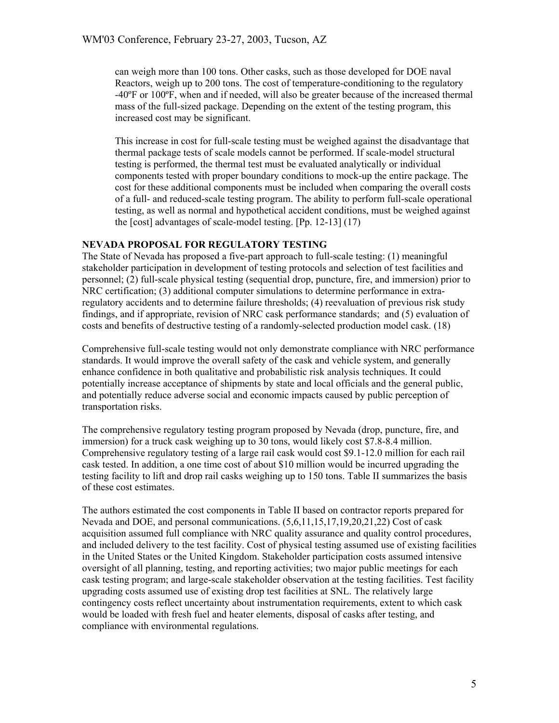can weigh more than 100 tons. Other casks, such as those developed for DOE naval Reactors, weigh up to 200 tons. The cost of temperature-conditioning to the regulatory -40ºF or 100ºF, when and if needed, will also be greater because of the increased thermal mass of the full-sized package. Depending on the extent of the testing program, this increased cost may be significant.

This increase in cost for full-scale testing must be weighed against the disadvantage that thermal package tests of scale models cannot be performed. If scale-model structural testing is performed, the thermal test must be evaluated analytically or individual components tested with proper boundary conditions to mock-up the entire package. The cost for these additional components must be included when comparing the overall costs of a full- and reduced-scale testing program. The ability to perform full-scale operational testing, as well as normal and hypothetical accident conditions, must be weighed against the [cost] advantages of scale-model testing. [Pp. 12-13] (17)

### **NEVADA PROPOSAL FOR REGULATORY TESTING**

The State of Nevada has proposed a five-part approach to full-scale testing: (1) meaningful stakeholder participation in development of testing protocols and selection of test facilities and personnel; (2) full-scale physical testing (sequential drop, puncture, fire, and immersion) prior to NRC certification; (3) additional computer simulations to determine performance in extraregulatory accidents and to determine failure thresholds; (4) reevaluation of previous risk study findings, and if appropriate, revision of NRC cask performance standards; and (5) evaluation of costs and benefits of destructive testing of a randomly-selected production model cask. (18)

Comprehensive full-scale testing would not only demonstrate compliance with NRC performance standards. It would improve the overall safety of the cask and vehicle system, and generally enhance confidence in both qualitative and probabilistic risk analysis techniques. It could potentially increase acceptance of shipments by state and local officials and the general public, and potentially reduce adverse social and economic impacts caused by public perception of transportation risks.

The comprehensive regulatory testing program proposed by Nevada (drop, puncture, fire, and immersion) for a truck cask weighing up to 30 tons, would likely cost \$7.8-8.4 million. Comprehensive regulatory testing of a large rail cask would cost \$9.1-12.0 million for each rail cask tested. In addition, a one time cost of about \$10 million would be incurred upgrading the testing facility to lift and drop rail casks weighing up to 150 tons. Table II summarizes the basis of these cost estimates.

The authors estimated the cost components in Table II based on contractor reports prepared for Nevada and DOE, and personal communications. (5,6,11,15,17,19,20,21,22) Cost of cask acquisition assumed full compliance with NRC quality assurance and quality control procedures, and included delivery to the test facility. Cost of physical testing assumed use of existing facilities in the United States or the United Kingdom. Stakeholder participation costs assumed intensive oversight of all planning, testing, and reporting activities; two major public meetings for each cask testing program; and large-scale stakeholder observation at the testing facilities. Test facility upgrading costs assumed use of existing drop test facilities at SNL. The relatively large contingency costs reflect uncertainty about instrumentation requirements, extent to which cask would be loaded with fresh fuel and heater elements, disposal of casks after testing, and compliance with environmental regulations.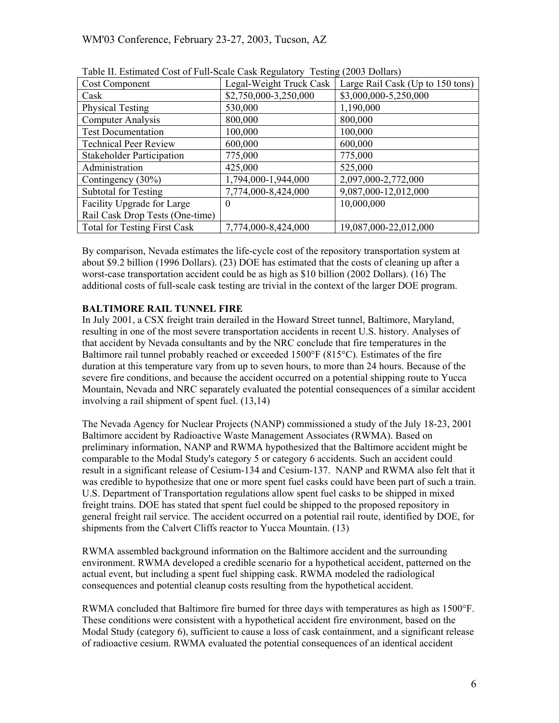| <b>Cost Component</b>               | Legal-Weight Truck Cask | Large Rail Cask (Up to 150 tons) |  |  |  |
|-------------------------------------|-------------------------|----------------------------------|--|--|--|
| Cask                                | \$2,750,000-3,250,000   | \$3,000,000-5,250,000            |  |  |  |
| <b>Physical Testing</b>             | 530,000                 | 1,190,000                        |  |  |  |
| <b>Computer Analysis</b>            | 800,000                 | 800,000                          |  |  |  |
| <b>Test Documentation</b>           | 100,000                 | 100,000                          |  |  |  |
| <b>Technical Peer Review</b>        | 600,000                 | 600,000                          |  |  |  |
| <b>Stakeholder Participation</b>    | 775,000                 | 775,000                          |  |  |  |
| Administration                      | 425,000                 | 525,000                          |  |  |  |
| Contingency (30%)                   | 1,794,000-1,944,000     | 2,097,000-2,772,000              |  |  |  |
| <b>Subtotal for Testing</b>         | 7,774,000-8,424,000     | 9,087,000-12,012,000             |  |  |  |
| Facility Upgrade for Large          | $\theta$                | 10,000,000                       |  |  |  |
| Rail Cask Drop Tests (One-time)     |                         |                                  |  |  |  |
| <b>Total for Testing First Cask</b> | 7,774,000-8,424,000     | 19,087,000-22,012,000            |  |  |  |

| Table II. Estimated Cost of Full-Scale Cask Regulatory Testing (2003 Dollars) |  |  |
|-------------------------------------------------------------------------------|--|--|
|-------------------------------------------------------------------------------|--|--|

By comparison, Nevada estimates the life-cycle cost of the repository transportation system at about \$9.2 billion (1996 Dollars). (23) DOE has estimated that the costs of cleaning up after a worst-case transportation accident could be as high as \$10 billion (2002 Dollars). (16) The additional costs of full-scale cask testing are trivial in the context of the larger DOE program.

# **BALTIMORE RAIL TUNNEL FIRE**

In July 2001, a CSX freight train derailed in the Howard Street tunnel, Baltimore, Maryland, resulting in one of the most severe transportation accidents in recent U.S. history. Analyses of that accident by Nevada consultants and by the NRC conclude that fire temperatures in the Baltimore rail tunnel probably reached or exceeded 1500°F (815°C). Estimates of the fire duration at this temperature vary from up to seven hours, to more than 24 hours. Because of the severe fire conditions, and because the accident occurred on a potential shipping route to Yucca Mountain, Nevada and NRC separately evaluated the potential consequences of a similar accident involving a rail shipment of spent fuel. (13,14)

The Nevada Agency for Nuclear Projects (NANP) commissioned a study of the July 18-23, 2001 Baltimore accident by Radioactive Waste Management Associates (RWMA). Based on preliminary information, NANP and RWMA hypothesized that the Baltimore accident might be comparable to the Modal Study's category 5 or category 6 accidents. Such an accident could result in a significant release of Cesium-134 and Cesium-137. NANP and RWMA also felt that it was credible to hypothesize that one or more spent fuel casks could have been part of such a train. U.S. Department of Transportation regulations allow spent fuel casks to be shipped in mixed freight trains. DOE has stated that spent fuel could be shipped to the proposed repository in general freight rail service. The accident occurred on a potential rail route, identified by DOE, for shipments from the Calvert Cliffs reactor to Yucca Mountain. (13)

RWMA assembled background information on the Baltimore accident and the surrounding environment. RWMA developed a credible scenario for a hypothetical accident, patterned on the actual event, but including a spent fuel shipping cask. RWMA modeled the radiological consequences and potential cleanup costs resulting from the hypothetical accident.

RWMA concluded that Baltimore fire burned for three days with temperatures as high as 1500°F. These conditions were consistent with a hypothetical accident fire environment, based on the Modal Study (category 6), sufficient to cause a loss of cask containment, and a significant release of radioactive cesium. RWMA evaluated the potential consequences of an identical accident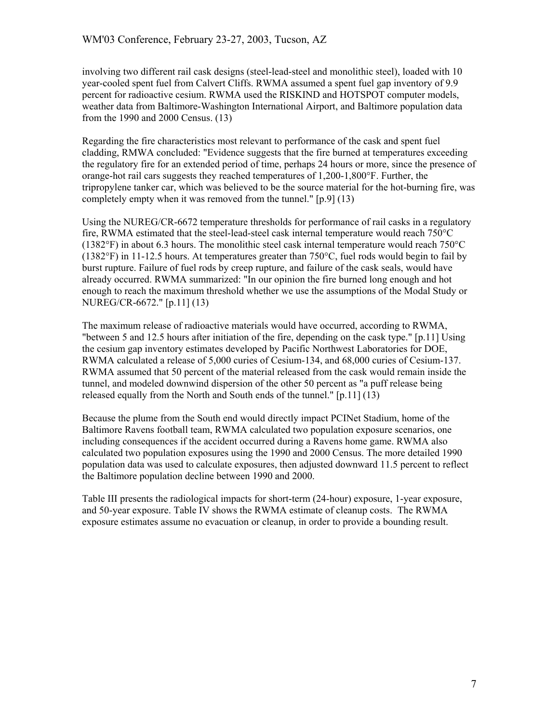involving two different rail cask designs (steel-lead-steel and monolithic steel), loaded with 10 year-cooled spent fuel from Calvert Cliffs. RWMA assumed a spent fuel gap inventory of 9.9 percent for radioactive cesium. RWMA used the RISKIND and HOTSPOT computer models, weather data from Baltimore-Washington International Airport, and Baltimore population data from the 1990 and 2000 Census. (13)

Regarding the fire characteristics most relevant to performance of the cask and spent fuel cladding, RMWA concluded: "Evidence suggests that the fire burned at temperatures exceeding the regulatory fire for an extended period of time, perhaps 24 hours or more, since the presence of orange-hot rail cars suggests they reached temperatures of 1,200-1,800°F. Further, the tripropylene tanker car, which was believed to be the source material for the hot-burning fire, was completely empty when it was removed from the tunnel." [p.9] (13)

Using the NUREG/CR-6672 temperature thresholds for performance of rail casks in a regulatory fire, RWMA estimated that the steel-lead-steel cask internal temperature would reach 750°C (1382°F) in about 6.3 hours. The monolithic steel cask internal temperature would reach 750°C (1382°F) in 11-12.5 hours. At temperatures greater than 750°C, fuel rods would begin to fail by burst rupture. Failure of fuel rods by creep rupture, and failure of the cask seals, would have already occurred. RWMA summarized: "In our opinion the fire burned long enough and hot enough to reach the maximum threshold whether we use the assumptions of the Modal Study or NUREG/CR-6672." [p.11] (13)

The maximum release of radioactive materials would have occurred, according to RWMA, "between 5 and 12.5 hours after initiation of the fire, depending on the cask type." [p.11] Using the cesium gap inventory estimates developed by Pacific Northwest Laboratories for DOE, RWMA calculated a release of 5,000 curies of Cesium-134, and 68,000 curies of Cesium-137. RWMA assumed that 50 percent of the material released from the cask would remain inside the tunnel, and modeled downwind dispersion of the other 50 percent as "a puff release being released equally from the North and South ends of the tunnel." [p.11] (13)

Because the plume from the South end would directly impact PCINet Stadium, home of the Baltimore Ravens football team, RWMA calculated two population exposure scenarios, one including consequences if the accident occurred during a Ravens home game. RWMA also calculated two population exposures using the 1990 and 2000 Census. The more detailed 1990 population data was used to calculate exposures, then adjusted downward 11.5 percent to reflect the Baltimore population decline between 1990 and 2000.

Table III presents the radiological impacts for short-term (24-hour) exposure, 1-year exposure, and 50-year exposure. Table IV shows the RWMA estimate of cleanup costs. The RWMA exposure estimates assume no evacuation or cleanup, in order to provide a bounding result.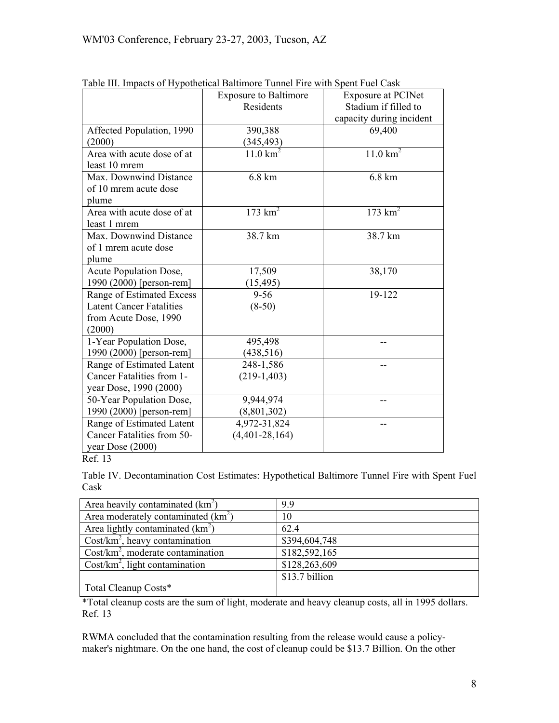| Table III. Impacts of Hypothetical Datumole Tunnel Fife with spent Fuel Cask |                                            |                           |  |
|------------------------------------------------------------------------------|--------------------------------------------|---------------------------|--|
|                                                                              | <b>Exposure to Baltimore</b>               | <b>Exposure at PCINet</b> |  |
|                                                                              | Residents                                  | Stadium if filled to      |  |
|                                                                              |                                            | capacity during incident  |  |
| Affected Population, 1990                                                    | 390,388                                    | 69,400                    |  |
| (2000)                                                                       | (345,493)                                  |                           |  |
| Area with acute dose of at                                                   | $11.0 \text{ km}^2$<br>$11.0 \text{ km}^2$ |                           |  |
| least 10 mrem                                                                |                                            |                           |  |
| Max. Downwind Distance                                                       | 6.8 km                                     | 6.8 km                    |  |
| of 10 mrem acute dose                                                        |                                            |                           |  |
| plume                                                                        |                                            |                           |  |
| Area with acute dose of at                                                   | $173 \text{ km}^2$                         | $173 \text{ km}^2$        |  |
| least 1 mrem                                                                 |                                            |                           |  |
| Max. Downwind Distance                                                       | 38.7 km                                    | 38.7 km                   |  |
| of 1 mrem acute dose                                                         |                                            |                           |  |
| plume                                                                        |                                            |                           |  |
| Acute Population Dose,                                                       | 17,509                                     | 38,170                    |  |
| 1990 (2000) [person-rem]                                                     | (15, 495)                                  |                           |  |
| Range of Estimated Excess                                                    | $9 - 56$                                   | 19-122                    |  |
| <b>Latent Cancer Fatalities</b>                                              | $(8-50)$                                   |                           |  |
| from Acute Dose, 1990                                                        |                                            |                           |  |
| (2000)                                                                       |                                            |                           |  |
| 1-Year Population Dose,                                                      | 495,498                                    |                           |  |
| 1990 (2000) [person-rem]                                                     | (438, 516)                                 |                           |  |
| Range of Estimated Latent                                                    | 248-1,586                                  |                           |  |
| Cancer Fatalities from 1-                                                    | $(219-1,403)$                              |                           |  |
| year Dose, 1990 (2000)                                                       |                                            |                           |  |
| 50-Year Population Dose,                                                     | 9,944,974                                  |                           |  |
| 1990 (2000) [person-rem]                                                     | (8,801,302)                                |                           |  |
| Range of Estimated Latent                                                    | 4,972-31,824                               |                           |  |
| Cancer Fatalities from 50-                                                   | $(4,401-28,164)$                           |                           |  |
| year Dose (2000)                                                             |                                            |                           |  |
|                                                                              |                                            |                           |  |

|  | Table III. Impacts of Hypothetical Baltimore Tunnel Fire with Spent Fuel Cask |  |  |
|--|-------------------------------------------------------------------------------|--|--|
|  |                                                                               |  |  |

Ref. 13

Table IV. Decontamination Cost Estimates: Hypothetical Baltimore Tunnel Fire with Spent Fuel Cask

| Area heavily contaminated $(km^2)$   | 9.9            |
|--------------------------------------|----------------|
| Area moderately contaminated $(km2)$ | 10             |
| Area lightly contaminated $(km^2)$   | 62.4           |
| $Cost/km2$ , heavy contamination     | \$394,604,748  |
| $Cost/km2$ , moderate contamination  | \$182,592,165  |
| $Cost/km2$ , light contamination     | \$128,263,609  |
|                                      | \$13.7 billion |
| Total Cleanup Costs*                 |                |

\*Total cleanup costs are the sum of light, moderate and heavy cleanup costs, all in 1995 dollars. Ref. 13

RWMA concluded that the contamination resulting from the release would cause a policymaker's nightmare. On the one hand, the cost of cleanup could be \$13.7 Billion. On the other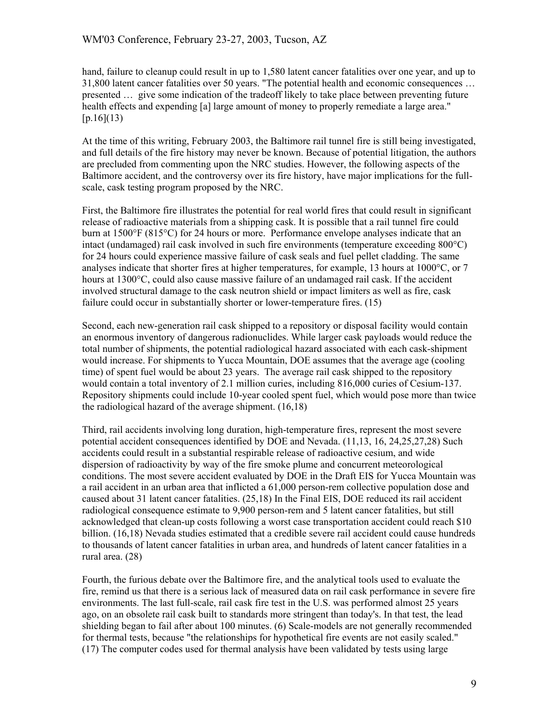hand, failure to cleanup could result in up to 1,580 latent cancer fatalities over one year, and up to 31,800 latent cancer fatalities over 50 years. "The potential health and economic consequences … presented … give some indication of the tradeoff likely to take place between preventing future health effects and expending [a] large amount of money to properly remediate a large area."  $[p.16](13)$ 

At the time of this writing, February 2003, the Baltimore rail tunnel fire is still being investigated, and full details of the fire history may never be known. Because of potential litigation, the authors are precluded from commenting upon the NRC studies. However, the following aspects of the Baltimore accident, and the controversy over its fire history, have major implications for the fullscale, cask testing program proposed by the NRC.

First, the Baltimore fire illustrates the potential for real world fires that could result in significant release of radioactive materials from a shipping cask. It is possible that a rail tunnel fire could burn at 1500°F (815°C) for 24 hours or more. Performance envelope analyses indicate that an intact (undamaged) rail cask involved in such fire environments (temperature exceeding 800°C) for 24 hours could experience massive failure of cask seals and fuel pellet cladding. The same analyses indicate that shorter fires at higher temperatures, for example, 13 hours at 1000°C, or 7 hours at 1300°C, could also cause massive failure of an undamaged rail cask. If the accident involved structural damage to the cask neutron shield or impact limiters as well as fire, cask failure could occur in substantially shorter or lower-temperature fires. (15)

Second, each new-generation rail cask shipped to a repository or disposal facility would contain an enormous inventory of dangerous radionuclides. While larger cask payloads would reduce the total number of shipments, the potential radiological hazard associated with each cask-shipment would increase. For shipments to Yucca Mountain, DOE assumes that the average age (cooling time) of spent fuel would be about 23 years. The average rail cask shipped to the repository would contain a total inventory of 2.1 million curies, including 816,000 curies of Cesium-137. Repository shipments could include 10-year cooled spent fuel, which would pose more than twice the radiological hazard of the average shipment. (16,18)

Third, rail accidents involving long duration, high-temperature fires, represent the most severe potential accident consequences identified by DOE and Nevada. (11,13, 16, 24,25,27,28) Such accidents could result in a substantial respirable release of radioactive cesium, and wide dispersion of radioactivity by way of the fire smoke plume and concurrent meteorological conditions. The most severe accident evaluated by DOE in the Draft EIS for Yucca Mountain was a rail accident in an urban area that inflicted a 61,000 person-rem collective population dose and caused about 31 latent cancer fatalities. (25,18) In the Final EIS, DOE reduced its rail accident radiological consequence estimate to 9,900 person-rem and 5 latent cancer fatalities, but still acknowledged that clean-up costs following a worst case transportation accident could reach \$10 billion. (16,18) Nevada studies estimated that a credible severe rail accident could cause hundreds to thousands of latent cancer fatalities in urban area, and hundreds of latent cancer fatalities in a rural area. (28)

Fourth, the furious debate over the Baltimore fire, and the analytical tools used to evaluate the fire, remind us that there is a serious lack of measured data on rail cask performance in severe fire environments. The last full-scale, rail cask fire test in the U.S. was performed almost 25 years ago, on an obsolete rail cask built to standards more stringent than today's. In that test, the lead shielding began to fail after about 100 minutes. (6) Scale-models are not generally recommended for thermal tests, because "the relationships for hypothetical fire events are not easily scaled." (17) The computer codes used for thermal analysis have been validated by tests using large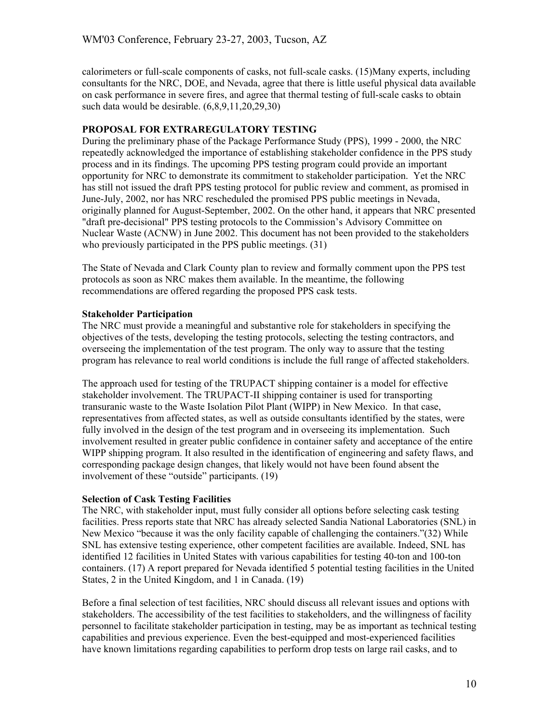calorimeters or full-scale components of casks, not full-scale casks. (15)Many experts, including consultants for the NRC, DOE, and Nevada, agree that there is little useful physical data available on cask performance in severe fires, and agree that thermal testing of full-scale casks to obtain such data would be desirable. (6,8,9,11,20,29,30)

### **PROPOSAL FOR EXTRAREGULATORY TESTING**

During the preliminary phase of the Package Performance Study (PPS), 1999 - 2000, the NRC repeatedly acknowledged the importance of establishing stakeholder confidence in the PPS study process and in its findings. The upcoming PPS testing program could provide an important opportunity for NRC to demonstrate its commitment to stakeholder participation. Yet the NRC has still not issued the draft PPS testing protocol for public review and comment, as promised in June-July, 2002, nor has NRC rescheduled the promised PPS public meetings in Nevada, originally planned for August-September, 2002. On the other hand, it appears that NRC presented "draft pre-decisional" PPS testing protocols to the Commission's Advisory Committee on Nuclear Waste (ACNW) in June 2002. This document has not been provided to the stakeholders who previously participated in the PPS public meetings. (31)

The State of Nevada and Clark County plan to review and formally comment upon the PPS test protocols as soon as NRC makes them available. In the meantime, the following recommendations are offered regarding the proposed PPS cask tests.

# **Stakeholder Participation**

The NRC must provide a meaningful and substantive role for stakeholders in specifying the objectives of the tests, developing the testing protocols, selecting the testing contractors, and overseeing the implementation of the test program. The only way to assure that the testing program has relevance to real world conditions is include the full range of affected stakeholders.

The approach used for testing of the TRUPACT shipping container is a model for effective stakeholder involvement. The TRUPACT-II shipping container is used for transporting transuranic waste to the Waste Isolation Pilot Plant (WIPP) in New Mexico. In that case, representatives from affected states, as well as outside consultants identified by the states, were fully involved in the design of the test program and in overseeing its implementation. Such involvement resulted in greater public confidence in container safety and acceptance of the entire WIPP shipping program. It also resulted in the identification of engineering and safety flaws, and corresponding package design changes, that likely would not have been found absent the involvement of these "outside" participants. (19)

# **Selection of Cask Testing Facilities**

The NRC, with stakeholder input, must fully consider all options before selecting cask testing facilities. Press reports state that NRC has already selected Sandia National Laboratories (SNL) in New Mexico "because it was the only facility capable of challenging the containers."(32) While SNL has extensive testing experience, other competent facilities are available. Indeed, SNL has identified 12 facilities in United States with various capabilities for testing 40-ton and 100-ton containers. (17) A report prepared for Nevada identified 5 potential testing facilities in the United States, 2 in the United Kingdom, and 1 in Canada. (19)

Before a final selection of test facilities, NRC should discuss all relevant issues and options with stakeholders. The accessibility of the test facilities to stakeholders, and the willingness of facility personnel to facilitate stakeholder participation in testing, may be as important as technical testing capabilities and previous experience. Even the best-equipped and most-experienced facilities have known limitations regarding capabilities to perform drop tests on large rail casks, and to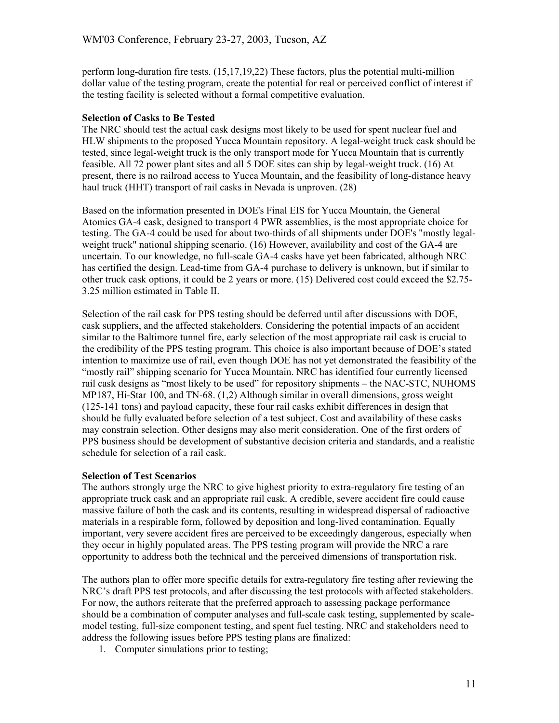perform long-duration fire tests. (15,17,19,22) These factors, plus the potential multi-million dollar value of the testing program, create the potential for real or perceived conflict of interest if the testing facility is selected without a formal competitive evaluation.

### **Selection of Casks to Be Tested**

The NRC should test the actual cask designs most likely to be used for spent nuclear fuel and HLW shipments to the proposed Yucca Mountain repository. A legal-weight truck cask should be tested, since legal-weight truck is the only transport mode for Yucca Mountain that is currently feasible. All 72 power plant sites and all 5 DOE sites can ship by legal-weight truck. (16) At present, there is no railroad access to Yucca Mountain, and the feasibility of long-distance heavy haul truck (HHT) transport of rail casks in Nevada is unproven. (28)

Based on the information presented in DOE's Final EIS for Yucca Mountain, the General Atomics GA-4 cask, designed to transport 4 PWR assemblies, is the most appropriate choice for testing. The GA-4 could be used for about two-thirds of all shipments under DOE's "mostly legalweight truck" national shipping scenario. (16) However, availability and cost of the GA-4 are uncertain. To our knowledge, no full-scale GA-4 casks have yet been fabricated, although NRC has certified the design. Lead-time from GA-4 purchase to delivery is unknown, but if similar to other truck cask options, it could be 2 years or more. (15) Delivered cost could exceed the \$2.75- 3.25 million estimated in Table II.

Selection of the rail cask for PPS testing should be deferred until after discussions with DOE, cask suppliers, and the affected stakeholders. Considering the potential impacts of an accident similar to the Baltimore tunnel fire, early selection of the most appropriate rail cask is crucial to the credibility of the PPS testing program. This choice is also important because of DOE's stated intention to maximize use of rail, even though DOE has not yet demonstrated the feasibility of the "mostly rail" shipping scenario for Yucca Mountain. NRC has identified four currently licensed rail cask designs as "most likely to be used" for repository shipments – the NAC-STC, NUHOMS MP187, Hi-Star 100, and TN-68. (1,2) Although similar in overall dimensions, gross weight (125-141 tons) and payload capacity, these four rail casks exhibit differences in design that should be fully evaluated before selection of a test subject. Cost and availability of these casks may constrain selection. Other designs may also merit consideration. One of the first orders of PPS business should be development of substantive decision criteria and standards, and a realistic schedule for selection of a rail cask.

### **Selection of Test Scenarios**

The authors strongly urge the NRC to give highest priority to extra-regulatory fire testing of an appropriate truck cask and an appropriate rail cask. A credible, severe accident fire could cause massive failure of both the cask and its contents, resulting in widespread dispersal of radioactive materials in a respirable form, followed by deposition and long-lived contamination. Equally important, very severe accident fires are perceived to be exceedingly dangerous, especially when they occur in highly populated areas. The PPS testing program will provide the NRC a rare opportunity to address both the technical and the perceived dimensions of transportation risk.

The authors plan to offer more specific details for extra-regulatory fire testing after reviewing the NRC's draft PPS test protocols, and after discussing the test protocols with affected stakeholders. For now, the authors reiterate that the preferred approach to assessing package performance should be a combination of computer analyses and full-scale cask testing, supplemented by scalemodel testing, full-size component testing, and spent fuel testing. NRC and stakeholders need to address the following issues before PPS testing plans are finalized:

1. Computer simulations prior to testing;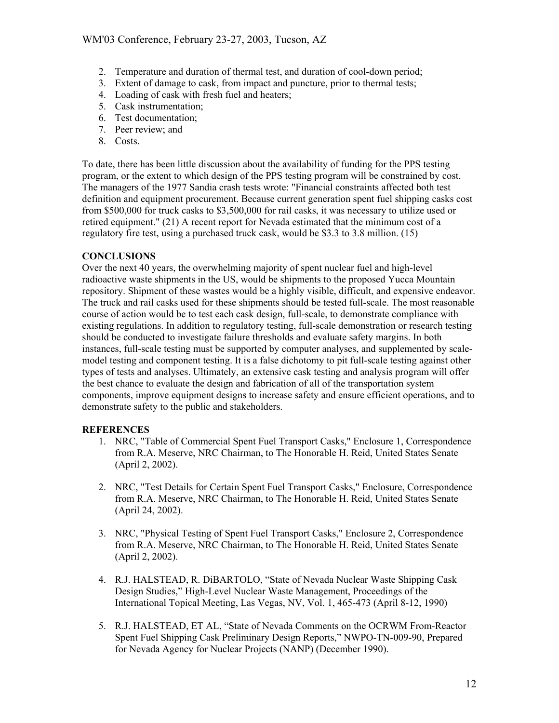- 2. Temperature and duration of thermal test, and duration of cool-down period;
- 3. Extent of damage to cask, from impact and puncture, prior to thermal tests;
- 4. Loading of cask with fresh fuel and heaters;
- 5. Cask instrumentation;
- 6. Test documentation;
- 7. Peer review; and
- 8. Costs.

To date, there has been little discussion about the availability of funding for the PPS testing program, or the extent to which design of the PPS testing program will be constrained by cost. The managers of the 1977 Sandia crash tests wrote: "Financial constraints affected both test definition and equipment procurement. Because current generation spent fuel shipping casks cost from \$500,000 for truck casks to \$3,500,000 for rail casks, it was necessary to utilize used or retired equipment." (21) A recent report for Nevada estimated that the minimum cost of a regulatory fire test, using a purchased truck cask, would be \$3.3 to 3.8 million. (15)

# **CONCLUSIONS**

Over the next 40 years, the overwhelming majority of spent nuclear fuel and high-level radioactive waste shipments in the US, would be shipments to the proposed Yucca Mountain repository. Shipment of these wastes would be a highly visible, difficult, and expensive endeavor. The truck and rail casks used for these shipments should be tested full-scale. The most reasonable course of action would be to test each cask design, full-scale, to demonstrate compliance with existing regulations. In addition to regulatory testing, full-scale demonstration or research testing should be conducted to investigate failure thresholds and evaluate safety margins. In both instances, full-scale testing must be supported by computer analyses, and supplemented by scalemodel testing and component testing. It is a false dichotomy to pit full-scale testing against other types of tests and analyses. Ultimately, an extensive cask testing and analysis program will offer the best chance to evaluate the design and fabrication of all of the transportation system components, improve equipment designs to increase safety and ensure efficient operations, and to demonstrate safety to the public and stakeholders.

### **REFERENCES**

- 1. NRC, "Table of Commercial Spent Fuel Transport Casks," Enclosure 1, Correspondence from R.A. Meserve, NRC Chairman, to The Honorable H. Reid, United States Senate (April 2, 2002).
- 2. NRC, "Test Details for Certain Spent Fuel Transport Casks," Enclosure, Correspondence from R.A. Meserve, NRC Chairman, to The Honorable H. Reid, United States Senate (April 24, 2002).
- 3. NRC, "Physical Testing of Spent Fuel Transport Casks," Enclosure 2, Correspondence from R.A. Meserve, NRC Chairman, to The Honorable H. Reid, United States Senate (April 2, 2002).
- 4. R.J. HALSTEAD, R. DiBARTOLO, "State of Nevada Nuclear Waste Shipping Cask Design Studies," High-Level Nuclear Waste Management, Proceedings of the International Topical Meeting, Las Vegas, NV, Vol. 1, 465-473 (April 8-12, 1990)
- 5. R.J. HALSTEAD, ET AL, "State of Nevada Comments on the OCRWM From-Reactor Spent Fuel Shipping Cask Preliminary Design Reports," NWPO-TN-009-90, Prepared for Nevada Agency for Nuclear Projects (NANP) (December 1990).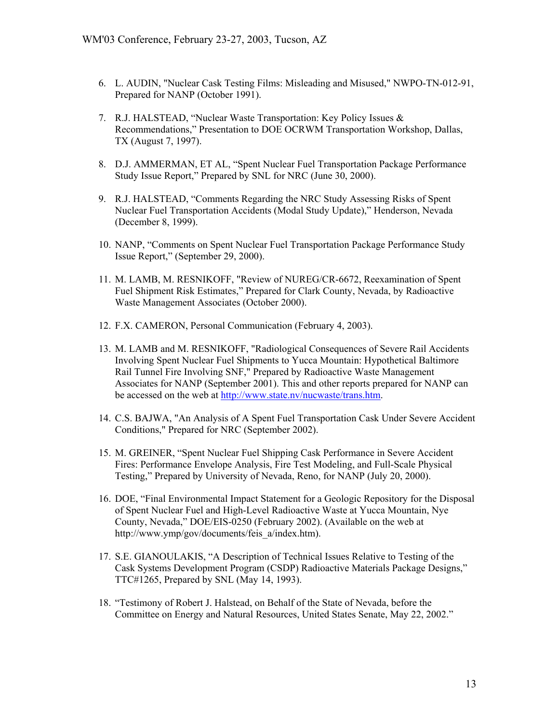- 6. L. AUDIN, "Nuclear Cask Testing Films: Misleading and Misused," NWPO-TN-012-91, Prepared for NANP (October 1991).
- 7. R.J. HALSTEAD, "Nuclear Waste Transportation: Key Policy Issues & Recommendations," Presentation to DOE OCRWM Transportation Workshop, Dallas, TX (August 7, 1997).
- 8. D.J. AMMERMAN, ET AL, "Spent Nuclear Fuel Transportation Package Performance Study Issue Report," Prepared by SNL for NRC (June 30, 2000).
- 9. R.J. HALSTEAD, "Comments Regarding the NRC Study Assessing Risks of Spent Nuclear Fuel Transportation Accidents (Modal Study Update)," Henderson, Nevada (December 8, 1999).
- 10. NANP, "Comments on Spent Nuclear Fuel Transportation Package Performance Study Issue Report," (September 29, 2000).
- 11. M. LAMB, M. RESNIKOFF, "Review of NUREG/CR-6672, Reexamination of Spent Fuel Shipment Risk Estimates," Prepared for Clark County, Nevada, by Radioactive Waste Management Associates (October 2000).
- 12. F.X. CAMERON, Personal Communication (February 4, 2003).
- 13. M. LAMB and M. RESNIKOFF, "Radiological Consequences of Severe Rail Accidents Involving Spent Nuclear Fuel Shipments to Yucca Mountain: Hypothetical Baltimore Rail Tunnel Fire Involving SNF," Prepared by Radioactive Waste Management Associates for NANP (September 2001). This and other reports prepared for NANP can be accessed on the web at [http://www.state.nv/nucwaste/trans.htm.](http://www.state.nv/nucwaste/trans.htm)
- 14. C.S. BAJWA, "An Analysis of A Spent Fuel Transportation Cask Under Severe Accident Conditions," Prepared for NRC (September 2002).
- 15. M. GREINER, "Spent Nuclear Fuel Shipping Cask Performance in Severe Accident Fires: Performance Envelope Analysis, Fire Test Modeling, and Full-Scale Physical Testing," Prepared by University of Nevada, Reno, for NANP (July 20, 2000).
- 16. DOE, "Final Environmental Impact Statement for a Geologic Repository for the Disposal of Spent Nuclear Fuel and High-Level Radioactive Waste at Yucca Mountain, Nye County, Nevada," DOE/EIS-0250 (February 2002). (Available on the web at http://www.ymp/gov/documents/feis\_a/index.htm).
- 17. S.E. GIANOULAKIS, "A Description of Technical Issues Relative to Testing of the Cask Systems Development Program (CSDP) Radioactive Materials Package Designs," TTC#1265, Prepared by SNL (May 14, 1993).
- 18. "Testimony of Robert J. Halstead, on Behalf of the State of Nevada, before the Committee on Energy and Natural Resources, United States Senate, May 22, 2002."